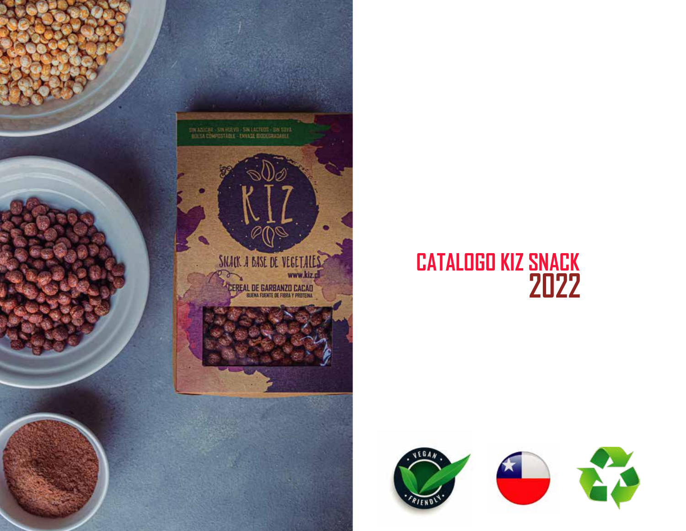

## **CATALOGO KIZ SNACK**<br>2022



DIN AZICAN - SIN HUEVII - SIN LAUTEUI - SIN SIIVA -<br>- BOLLA CONFOSTABLE - ENVASE BIODEGRADABLE

#### SNAUK A BASE DE VEGETALES www.kiz.dl

**CEREAL DE GARBANZO CACAD** 

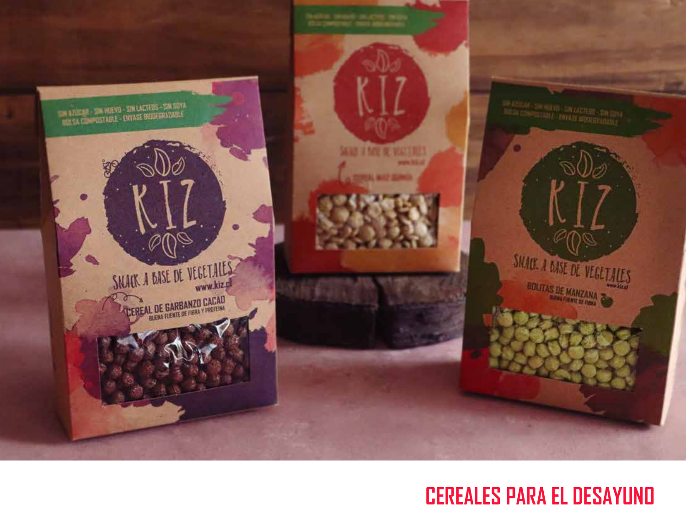

### **CEREALES PARA EL DESAYUNO**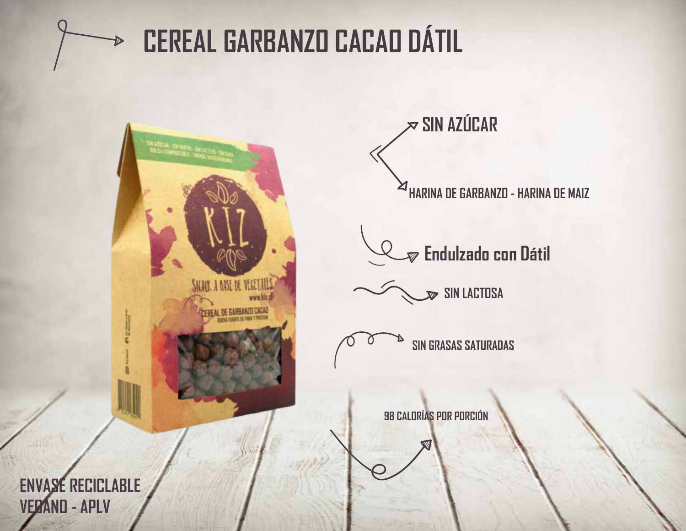

## **CEREAL GARBANZO CACAO DÁTIL**



 $\approx$  SIN AZÚCAR

**HARINA DE GARBANZO - HARINA DE MAIZ** 

 $\mathcal P$  Endulzado con Dátil

 $\mathbf{\infty}$  sin lactosa



98 CALORÍAS POR PORCIÓN

**ENVASE RECICLABLE VERANO - APLV**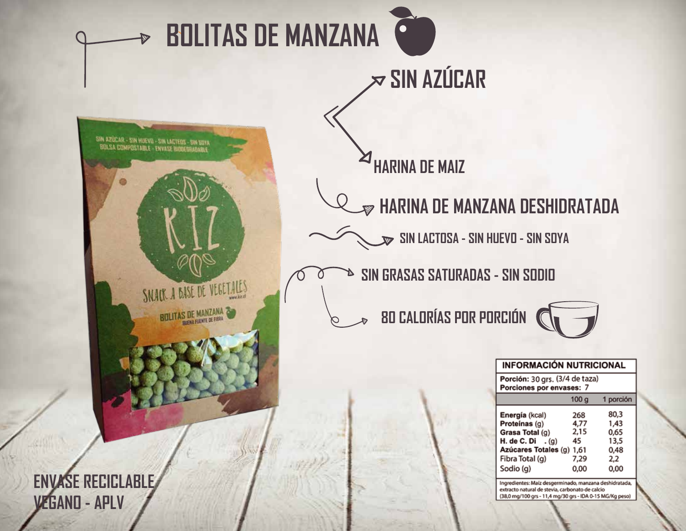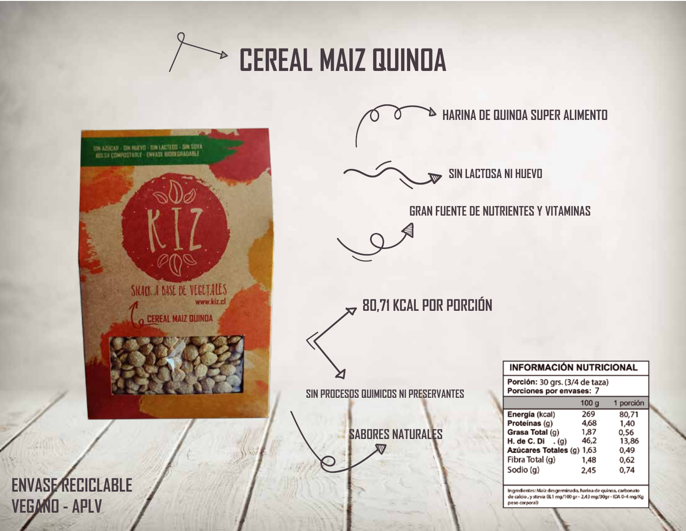



**HARINA DE QUINOA SUPER ALIMENTO** D





**80,71 KCAL POR PORCIÓN**

|  |  | SIN PROCESOS QUIMICOS NI PRESERVANTES |
|--|--|---------------------------------------|
|--|--|---------------------------------------|

**SABORES NATURALES**

| <b>INFORMACIÓN NUTRICIONAL</b>                             |           |  |  |  |
|------------------------------------------------------------|-----------|--|--|--|
| Porción: 30 grs. (3/4 de taza)<br>Porciones por envases: 7 |           |  |  |  |
| 100 <sub>9</sub>                                           | 1 porción |  |  |  |
| 269                                                        | 80,71     |  |  |  |
| 4,68                                                       | 1,40      |  |  |  |
| 1,87                                                       | 0.56      |  |  |  |
| 46,2                                                       | 13,86     |  |  |  |
| Azúcares Totales (g) 1,63                                  | 0,49      |  |  |  |
| 1,48                                                       | 0,62      |  |  |  |
| 2.45                                                       | 0.74      |  |  |  |
|                                                            |           |  |  |  |

Ingredientes: Maíz desgerminado, harina de quinoa, carbonato de calcio , y stevia (8,1 mg/100 gr - 2,43 mg/30gr - IDA 0-4 mg/Kg peso corporal)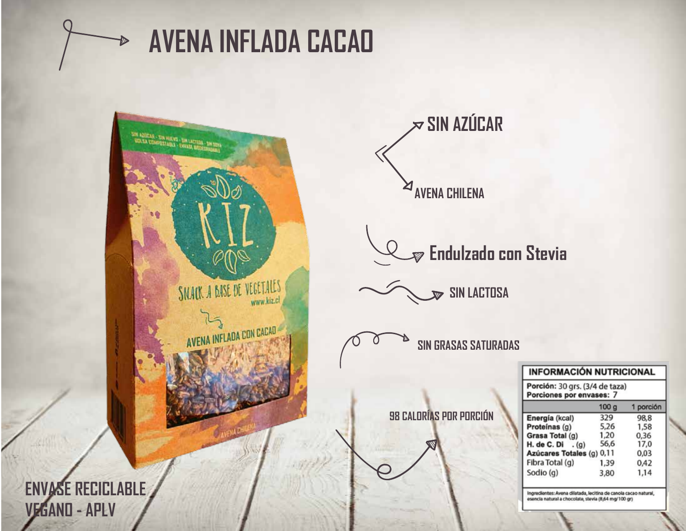

## **AVENA INFLADA CACAD**



 $\approx$  SIN AZÚCAR ⊠ **AVENA CHILENA** 

 $\mathcal D$  Endulzado con Stevia

**SIN LACTOSA** 

**SIN GRASAS SATURADAS** 

**INFORMACIÓN NUTRICIONAL** 

Porción: 30 grs. (3/4 de taza)

98 CALORÍAS POR PORCIÓN

| Porciones por envases: 7  |                  |           |  |  |
|---------------------------|------------------|-----------|--|--|
|                           | 100 <sub>g</sub> | 1 porción |  |  |
| Energía (kcal)            | 329              | 98.8      |  |  |
| Proteínas (g)             | 5,26             | 1,58      |  |  |
| Grasa Total (g)           | 1,20             | 0,36      |  |  |
| H. de C. Di $.(g)$        | 56,6             | 17,0      |  |  |
| Azúcares Totales (g) 0,11 |                  | 0,03      |  |  |
| Fibra Total (g)           | 1,39             | 0,42      |  |  |
| Sodio (g)                 | 3,80             | 1,14      |  |  |

Ingredientes: Avena dilatada, lecitina de canola cacao natural, esencia natural a chocolate, stevia (8,64 mg/100 gr)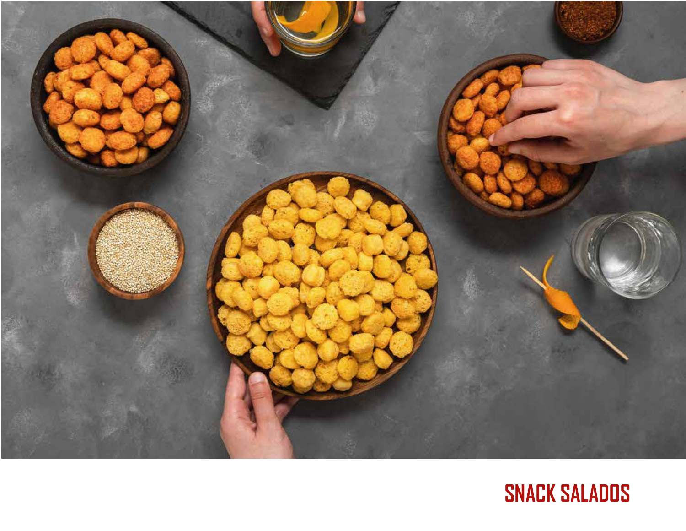

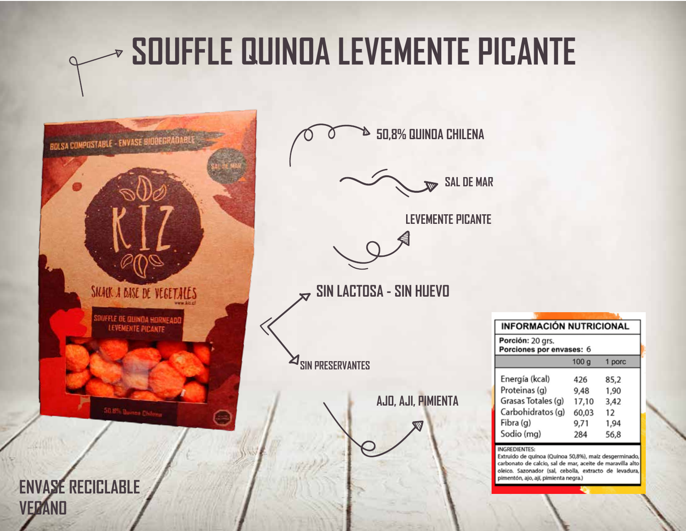#### **SOUFFLE QUINOA LEVEMENTE PICANTE**  $\triangledown$

**50,8% QUINOA CHILENA**

**AJO, AJI, PIMIENTA**

**SAL DE MAR**

**INFORMACIÓN NUTRICIONAL** 

 $100<sub>q</sub>$ 

426

9,48

17,10

60,03

9,71

284

Extruido de quínoa (Quínoa 50,8%), maíz desgerminado, carbonato de calcio, sal de mar, aceite de maravilla alto

1 porc

85,2

1,90

3,42

1,94

56.8

12

Porción: 20 grs.

Energía (kcal)

Proteinas (g)

Fibra (g)

**INGREDIENTES:** 

Sodio (mg)

Grasas Totales (g)

Carbohidratos (q)

Porciones por envases: 6

**LEVEMENTE PICANTE**

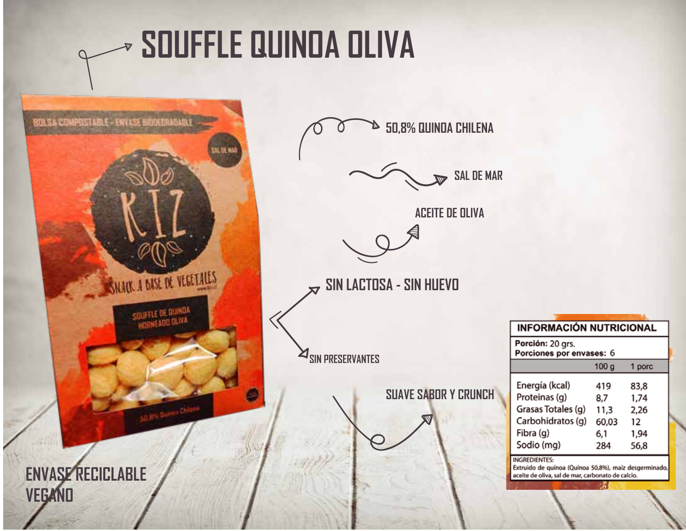## **SOUFFLE QUINDA OLIVA**



1 porc

83,8

1,74

2,26

 $12$ 

1,94

56,8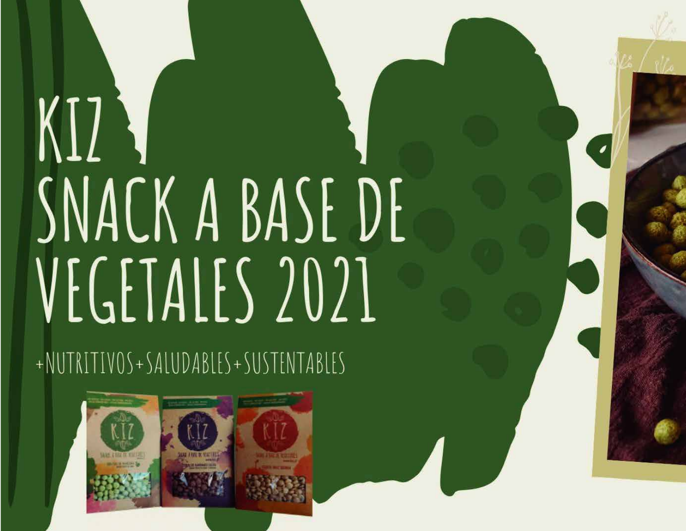# $KI$ SNACK A BASE DE VEGETALES 2021

+NUTRITIVOS+SALUDABLES+SUSTENTABLES